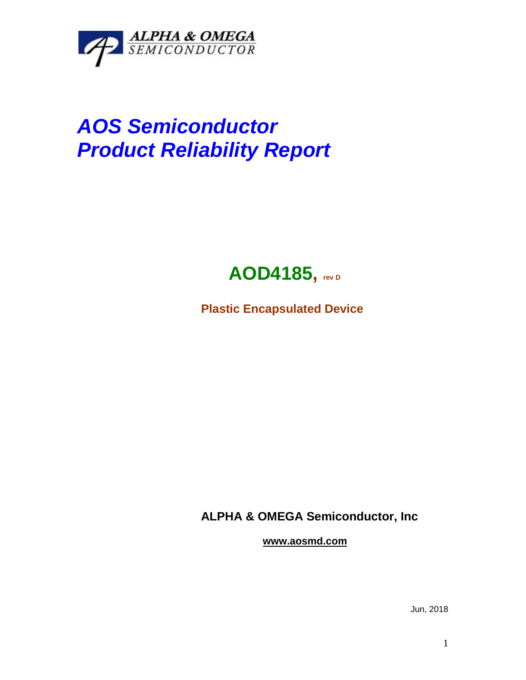

## *AOS Semiconductor Product Reliability Report*



**Plastic Encapsulated Device**

**ALPHA & OMEGA Semiconductor, Inc**

**www.aosmd.com**

Jun, 2018